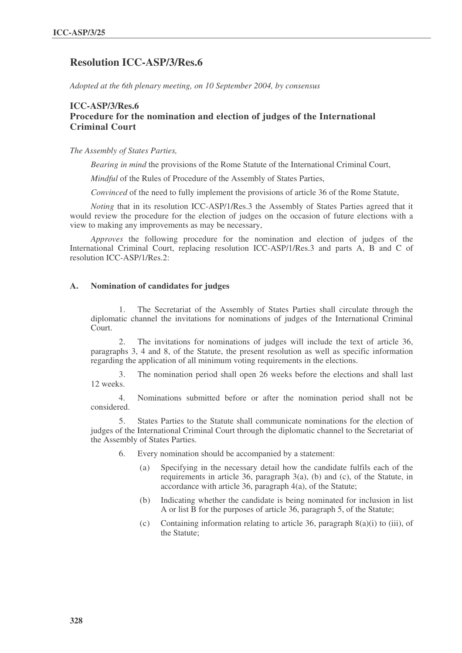# **Resolution ICC-ASP/3/Res.6**

*Adopted at the 6th plenary meeting, on 10 September 2004, by consensus*

## **ICC-ASP/3/Res.6 Procedure for the nomination and election of judges of the International Criminal Court**

*The Assembly of States Parties,*

*Bearing in mind* the provisions of the Rome Statute of the International Criminal Court,

*Mindful* of the Rules of Procedure of the Assembly of States Parties,

*Convinced* of the need to fully implement the provisions of article 36 of the Rome Statute,

*Noting* that in its resolution ICC-ASP/1/Res.3 the Assembly of States Parties agreed that it would review the procedure for the election of judges on the occasion of future elections with a view to making any improvements as may be necessary,

*Approves* the following procedure for the nomination and election of judges of the International Criminal Court, replacing resolution ICC-ASP/1/Res.3 and parts A, B and C of resolution ICC-ASP/1/Res.2:

#### **A. Nomination of candidates for judges**

1. The Secretariat of the Assembly of States Parties shall circulate through the diplomatic channel the invitations for nominations of judges of the International Criminal Court.

2. The invitations for nominations of judges will include the text of article 36, paragraphs 3, 4 and 8, of the Statute, the present resolution as well as specific information regarding the application of all minimum voting requirements in the elections.

3. The nomination period shall open 26 weeks before the elections and shall last 12 weeks.

4. Nominations submitted before or after the nomination period shall not be considered.

5. States Parties to the Statute shall communicate nominations for the election of judges of the International Criminal Court through the diplomatic channel to the Secretariat of the Assembly of States Parties.

- 6. Every nomination should be accompanied by a statement:
	- (a) Specifying in the necessary detail how the candidate fulfils each of the requirements in article 36, paragraph 3(a), (b) and (c), of the Statute, in accordance with article 36, paragraph 4(a), of the Statute;
	- (b) Indicating whether the candidate is being nominated for inclusion in list A or list B for the purposes of article 36, paragraph 5, of the Statute;
	- (c) Containing information relating to article 36, paragraph 8(a)(i) to (iii), of the Statute;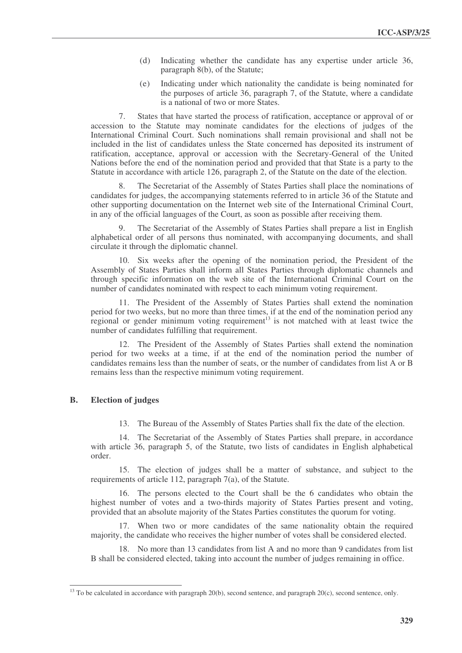- (d) Indicating whether the candidate has any expertise under article 36, paragraph 8(b), of the Statute;
- (e) Indicating under which nationality the candidate is being nominated for the purposes of article 36, paragraph 7, of the Statute, where a candidate is a national of two or more States.

7. States that have started the process of ratification, acceptance or approval of or accession to the Statute may nominate candidates for the elections of judges of the International Criminal Court. Such nominations shall remain provisional and shall not be included in the list of candidates unless the State concerned has deposited its instrument of ratification, acceptance, approval or accession with the Secretary-General of the United Nations before the end of the nomination period and provided that that State is a party to the Statute in accordance with article 126, paragraph 2, of the Statute on the date of the election.

The Secretariat of the Assembly of States Parties shall place the nominations of candidates for judges, the accompanying statements referred to in article 36 of the Statute and other supporting documentation on the Internet web site of the International Criminal Court, in any of the official languages of the Court, as soon as possible after receiving them.

9. The Secretariat of the Assembly of States Parties shall prepare a list in English alphabetical order of all persons thus nominated, with accompanying documents, and shall circulate it through the diplomatic channel.

10. Six weeks after the opening of the nomination period, the President of the Assembly of States Parties shall inform all States Parties through diplomatic channels and through specific information on the web site of the International Criminal Court on the number of candidates nominated with respect to each minimum voting requirement.

11. The President of the Assembly of States Parties shall extend the nomination period for two weeks, but no more than three times, if at the end of the nomination period any regional or gender minimum voting requirement<sup>13</sup> is not matched with at least twice the number of candidates fulfilling that requirement.

12. The President of the Assembly of States Parties shall extend the nomination period for two weeks at a time, if at the end of the nomination period the number of candidates remains less than the number of seats, or the number of candidates from list A or B remains less than the respective minimum voting requirement.

### **B. Election of judges**

13. The Bureau of the Assembly of States Parties shall fix the date of the election.

14. The Secretariat of the Assembly of States Parties shall prepare, in accordance with article 36, paragraph 5, of the Statute, two lists of candidates in English alphabetical order.

15. The election of judges shall be a matter of substance, and subject to the requirements of article 112, paragraph 7(a), of the Statute.

16. The persons elected to the Court shall be the 6 candidates who obtain the highest number of votes and a two-thirds majority of States Parties present and voting, provided that an absolute majority of the States Parties constitutes the quorum for voting.

17. When two or more candidates of the same nationality obtain the required majority, the candidate who receives the higher number of votes shall be considered elected.

18. No more than 13 candidates from list A and no more than 9 candidates from list B shall be considered elected, taking into account the number of judges remaining in office.

<sup>&</sup>lt;sup>13</sup> To be calculated in accordance with paragraph  $20(b)$ , second sentence, and paragraph  $20(c)$ , second sentence, only.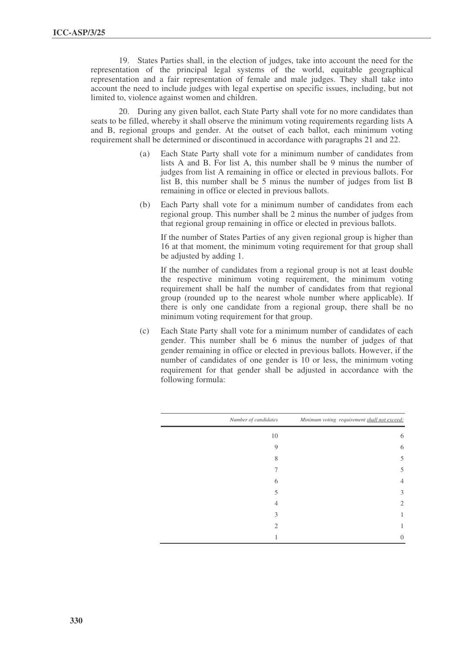19. States Parties shall, in the election of judges, take into account the need for the representation of the principal legal systems of the world, equitable geographical representation and a fair representation of female and male judges. They shall take into account the need to include judges with legal expertise on specific issues, including, but not limited to, violence against women and children.

20. During any given ballot, each State Party shall vote for no more candidates than seats to be filled, whereby it shall observe the minimum voting requirements regarding lists A and B, regional groups and gender. At the outset of each ballot, each minimum voting requirement shall be determined or discontinued in accordance with paragraphs 21 and 22.

- (a) Each State Party shall vote for a minimum number of candidates from lists A and B. For list A, this number shall be 9 minus the number of judges from list A remaining in office or elected in previous ballots. For list B, this number shall be 5 minus the number of judges from list B remaining in office or elected in previous ballots.
- (b) Each Party shall vote for a minimum number of candidates from each regional group. This number shall be 2 minus the number of judges from that regional group remaining in office or elected in previous ballots.

If the number of States Parties of any given regional group is higher than 16 at that moment, the minimum voting requirement for that group shall be adjusted by adding 1.

If the number of candidates from a regional group is not at least double the respective minimum voting requirement, the minimum voting requirement shall be half the number of candidates from that regional group (rounded up to the nearest whole number where applicable). If there is only one candidate from a regional group, there shall be no minimum voting requirement for that group.

(c) Each State Party shall vote for a minimum number of candidates of each gender. This number shall be 6 minus the number of judges of that gender remaining in office or elected in previous ballots. However, if the number of candidates of one gender is 10 or less, the minimum voting requirement for that gender shall be adjusted in accordance with the following formula:

| Number of candidates | Minimum voting requirement shall not exceed: |  |
|----------------------|----------------------------------------------|--|
| 10                   | 6                                            |  |
| 9                    | 6                                            |  |
| 8                    | 5                                            |  |
|                      | 5                                            |  |
| 6                    | 4                                            |  |
| 5                    | 3                                            |  |
| 4                    | 2                                            |  |
| 3                    |                                              |  |
| $\mathcal{D}$        |                                              |  |
|                      | 0                                            |  |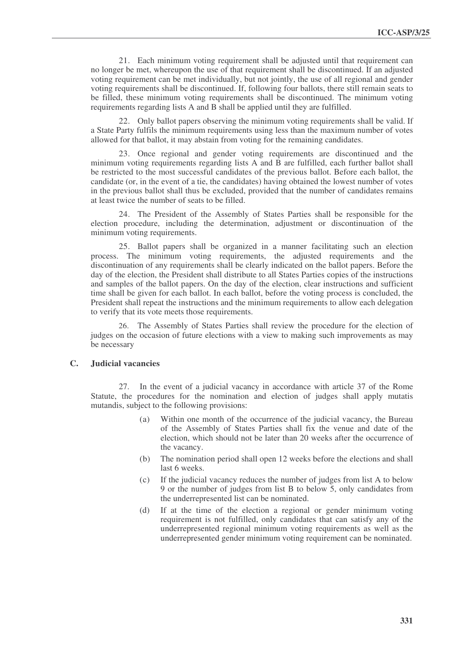21. Each minimum voting requirement shall be adjusted until that requirement can no longer be met, whereupon the use of that requirement shall be discontinued. If an adjusted voting requirement can be met individually, but not jointly, the use of all regional and gender voting requirements shall be discontinued. If, following four ballots, there still remain seats to be filled, these minimum voting requirements shall be discontinued. The minimum voting requirements regarding lists A and B shall be applied until they are fulfilled.

22. Only ballot papers observing the minimum voting requirements shall be valid. If a State Party fulfils the minimum requirements using less than the maximum number of votes allowed for that ballot, it may abstain from voting for the remaining candidates.

23. Once regional and gender voting requirements are discontinued and the minimum voting requirements regarding lists A and B are fulfilled, each further ballot shall be restricted to the most successful candidates of the previous ballot. Before each ballot, the candidate (or, in the event of a tie, the candidates) having obtained the lowest number of votes in the previous ballot shall thus be excluded, provided that the number of candidates remains at least twice the number of seats to be filled.

24. The President of the Assembly of States Parties shall be responsible for the election procedure, including the determination, adjustment or discontinuation of the minimum voting requirements.

25. Ballot papers shall be organized in a manner facilitating such an election process. The minimum voting requirements, the adjusted requirements and the discontinuation of any requirements shall be clearly indicated on the ballot papers. Before the day of the election, the President shall distribute to all States Parties copies of the instructions and samples of the ballot papers. On the day of the election, clear instructions and sufficient time shall be given for each ballot. In each ballot, before the voting process is concluded, the President shall repeat the instructions and the minimum requirements to allow each delegation to verify that its vote meets those requirements.

26. The Assembly of States Parties shall review the procedure for the election of judges on the occasion of future elections with a view to making such improvements as may be necessary

#### **C. Judicial vacancies**

27. In the event of a judicial vacancy in accordance with article 37 of the Rome Statute, the procedures for the nomination and election of judges shall apply mutatis mutandis, subject to the following provisions:

- (a) Within one month of the occurrence of the judicial vacancy, the Bureau of the Assembly of States Parties shall fix the venue and date of the election, which should not be later than 20 weeks after the occurrence of the vacancy.
- (b) The nomination period shall open 12 weeks before the elections and shall last 6 weeks.
- (c) If the judicial vacancy reduces the number of judges from list A to below 9 or the number of judges from list B to below 5, only candidates from the underrepresented list can be nominated.
- (d) If at the time of the election a regional or gender minimum voting requirement is not fulfilled, only candidates that can satisfy any of the underrepresented regional minimum voting requirements as well as the underrepresented gender minimum voting requirement can be nominated.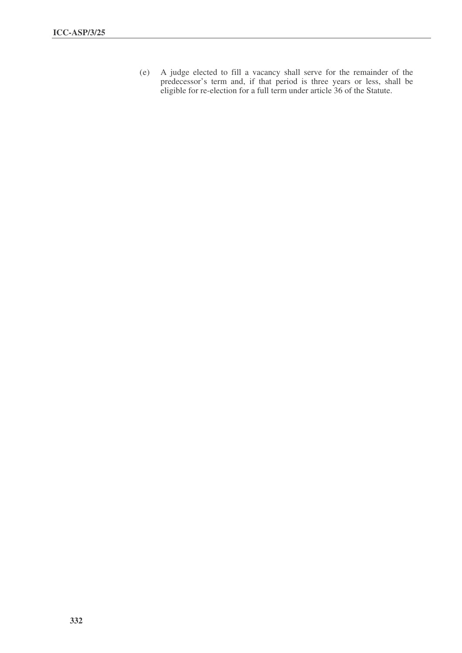(e) A judge elected to fill a vacancy shall serve for the remainder of the predecessor's term and, if that period is three years or less, shall be eligible for re-election for a full term under article 36 of the Statute.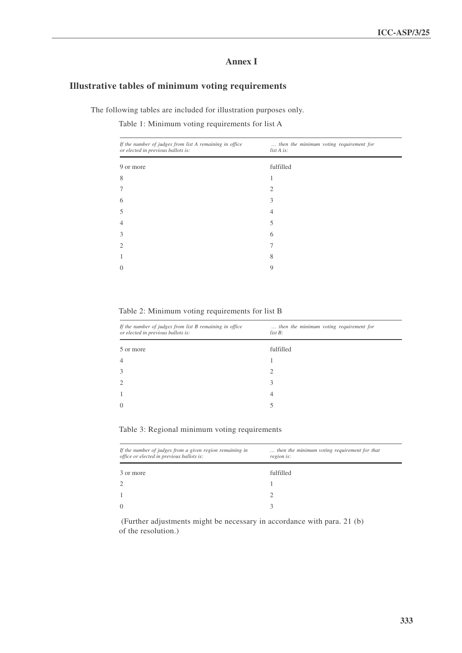## **Annex I**

### **Illustrative tables of minimum voting requirements**

The following tables are included for illustration purposes only.

Table 1: Minimum voting requirements for list A

| If the number of judges from list A remaining in office<br>or elected in previous ballots is: | then the minimum voting requirement for<br>list A is: |
|-----------------------------------------------------------------------------------------------|-------------------------------------------------------|
| 9 or more                                                                                     | fulfilled                                             |
| 8                                                                                             |                                                       |
| $\overline{7}$                                                                                | 2                                                     |
| 6                                                                                             | 3                                                     |
| 5                                                                                             | 4                                                     |
| $\overline{4}$                                                                                | 5                                                     |
| 3                                                                                             | 6                                                     |
| $\overline{2}$                                                                                | 7                                                     |
| 1                                                                                             | 8                                                     |
| $\theta$                                                                                      | 9                                                     |
|                                                                                               |                                                       |

Table 2: Minimum voting requirements for list B

| If the number of judges from list B remaining in office<br>or elected in previous ballots is: | then the minimum voting requirement for<br>$list B$ : |
|-----------------------------------------------------------------------------------------------|-------------------------------------------------------|
| 5 or more                                                                                     | fulfilled                                             |
| $\overline{4}$                                                                                |                                                       |
| 3                                                                                             | 2                                                     |
| $\overline{2}$                                                                                | 3                                                     |
| 1                                                                                             | 4                                                     |
| $\Omega$                                                                                      |                                                       |

Table 3: Regional minimum voting requirements

| If the number of judges from a given region remaining in<br>office or elected in previous ballots is: | then the minimum voting requirement for that<br>region is: |  |
|-------------------------------------------------------------------------------------------------------|------------------------------------------------------------|--|
| 3 or more                                                                                             | fulfilled                                                  |  |
| 2                                                                                                     |                                                            |  |
|                                                                                                       |                                                            |  |
| $\Omega$                                                                                              |                                                            |  |

(Further adjustments might be necessary in accordance with para. 21 (b) of the resolution.)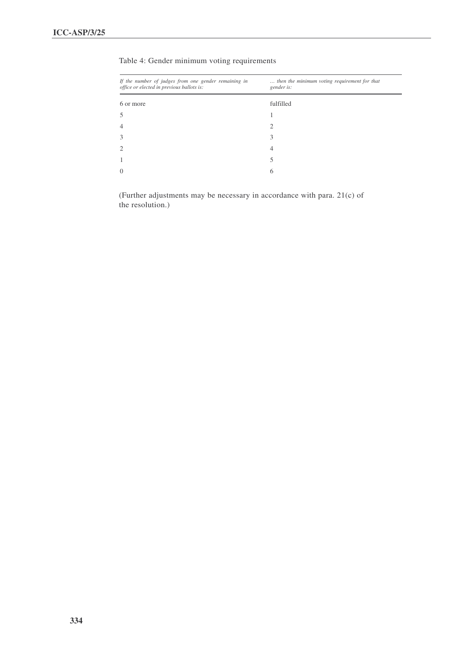| If the number of judges from one gender remaining in<br>office or elected in previous ballots is: | then the minimum voting requirement for that<br>gender is: |  |
|---------------------------------------------------------------------------------------------------|------------------------------------------------------------|--|
|                                                                                                   |                                                            |  |
| 6 or more                                                                                         | fulfilled                                                  |  |
| 5                                                                                                 |                                                            |  |
| 4                                                                                                 | 2                                                          |  |
| 3                                                                                                 | 3                                                          |  |
| $\overline{2}$                                                                                    | 4                                                          |  |
| 1                                                                                                 |                                                            |  |
| $\overline{0}$                                                                                    | 6                                                          |  |

### Table 4: Gender minimum voting requirements

(Further adjustments may be necessary in accordance with para. 21(c) of the resolution.)